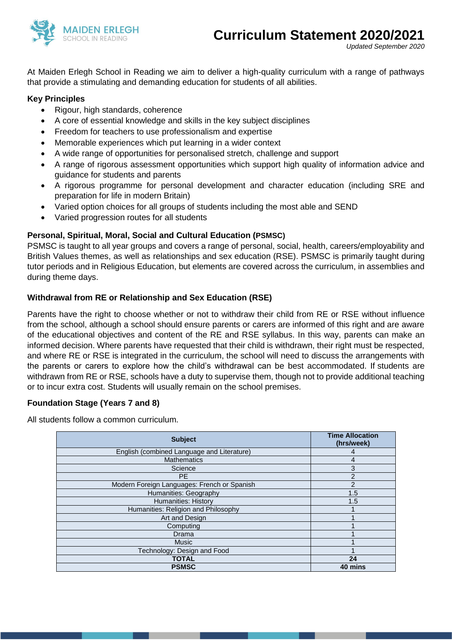

*Updated September 2020*

At Maiden Erlegh School in Reading we aim to deliver a high-quality curriculum with a range of pathways that provide a stimulating and demanding education for students of all abilities.

## **Key Principles**

- Rigour, high standards, coherence
- A core of essential knowledge and skills in the key subject disciplines
- Freedom for teachers to use professionalism and expertise
- Memorable experiences which put learning in a wider context
- A wide range of opportunities for personalised stretch, challenge and support
- A range of rigorous assessment opportunities which support high quality of information advice and guidance for students and parents
- A rigorous programme for personal development and character education (including SRE and preparation for life in modern Britain)
- Varied option choices for all groups of students including the most able and SEND
- Varied progression routes for all students

## **Personal, Spiritual, Moral, Social and Cultural Education (PSMSC)**

PSMSC is taught to all year groups and covers a range of personal, social, health, careers/employability and British Values themes, as well as relationships and sex education (RSE). PSMSC is primarily taught during tutor periods and in Religious Education, but elements are covered across the curriculum, in assemblies and during theme days.

### **Withdrawal from RE or Relationship and Sex Education (RSE)**

Parents have the right to choose whether or not to withdraw their child from RE or RSE without influence from the school, although a school should ensure parents or carers are informed of this right and are aware of the educational objectives and content of the RE and RSE syllabus. In this way, parents can make an informed decision. Where parents have requested that their child is withdrawn, their right must be respected, and where RE or RSE is integrated in the curriculum, the school will need to discuss the arrangements with the parents or carers to explore how the child's withdrawal can be best accommodated. If students are withdrawn from RE or RSE, schools have a duty to supervise them, though not to provide additional teaching or to incur extra cost. Students will usually remain on the school premises.

#### **Foundation Stage (Years 7 and 8)**

All students follow a common curriculum.

| <b>Subject</b>                              | <b>Time Allocation</b><br>(hrs/week) |
|---------------------------------------------|--------------------------------------|
| English (combined Language and Literature)  | 4                                    |
| <b>Mathematics</b>                          | 4                                    |
| Science                                     | 3                                    |
| <b>PF</b>                                   | $\overline{2}$                       |
| Modern Foreign Languages: French or Spanish | $\overline{2}$                       |
| Humanities: Geography                       | 1.5                                  |
| <b>Humanities: History</b>                  | 1.5                                  |
| Humanities: Religion and Philosophy         |                                      |
| Art and Design                              |                                      |
| Computing                                   |                                      |
| Drama                                       |                                      |
| <b>Music</b>                                |                                      |
| Technology: Design and Food                 |                                      |
| <b>TOTAL</b>                                | 24                                   |
| <b>PSMSC</b>                                | 40 mins                              |